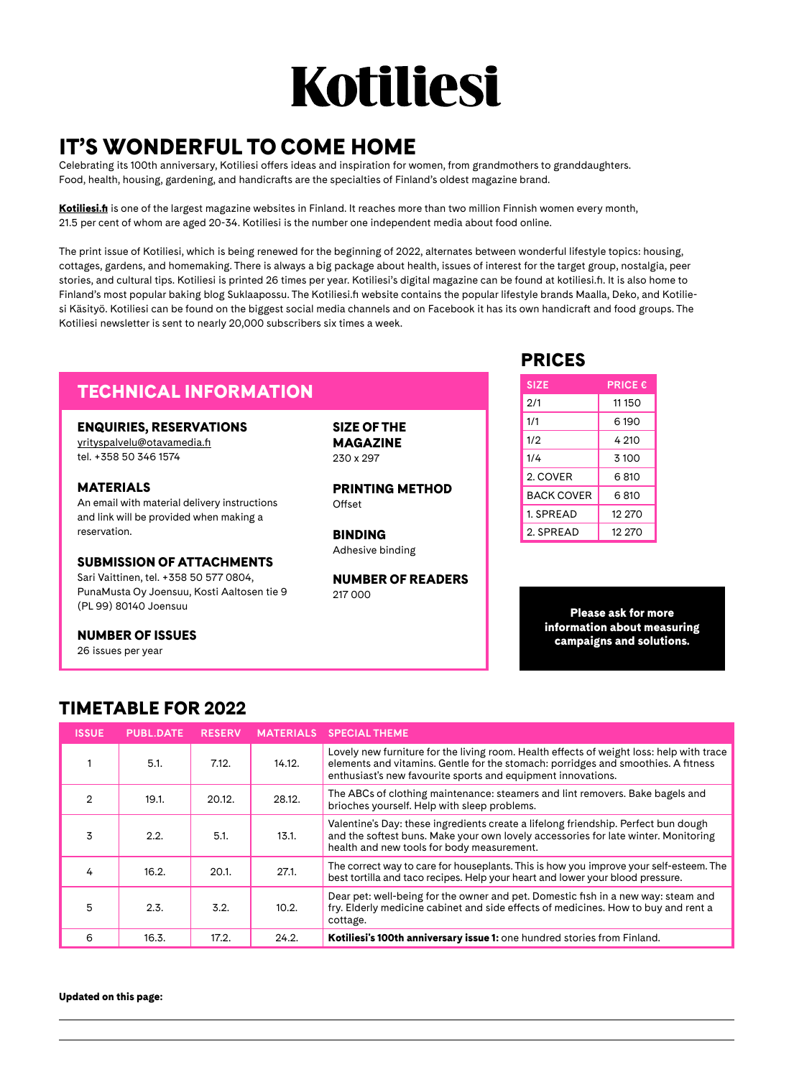## Kotiliesi

## IT'S WONDERFUL TO COME HOME

Celebrating its 100th anniversary, Kotiliesi offers ideas and inspiration for women, from grandmothers to granddaughters. Food, health, housing, gardening, and handicrafts are the specialties of Finland's oldest magazine brand.

[Kotiliesi.fi](http://Kotiliesi.fi) is one of the largest magazine websites in Finland. It reaches more than two million Finnish women every month, 21.5 per cent of whom are aged 20-34. Kotiliesi is the number one independent media about food online.

The print issue of Kotiliesi, which is being renewed for the beginning of 2022, alternates between wonderful lifestyle topics: housing, cottages, gardens, and homemaking. There is always a big package about health, issues of interest for the target group, nostalgia, peer stories, and cultural tips. Kotiliesi is printed 26 times per year. Kotiliesi's digital magazine can be found at kotiliesi.fi. It is also home to Finland's most popular baking blog Suklaapossu. The Kotiliesi.fi website contains the popular lifestyle brands Maalla, Deko, and Kotiliesi Käsityö. Kotiliesi can be found on the biggest social media channels and on Facebook it has its own handicraft and food groups. The Kotiliesi newsletter is sent to nearly 20,000 subscribers six times a week.

### TECHNICAL INFORMATION

#### ENQUIRIES, RESERVATIONS

[yrityspalvelu@otavamedia.fi](mailto:yrityspalvelu%40otavamedia.fi?subject=) tel. +358 50 346 1574

#### MATERIALS

An email with material delivery instructions and link will be provided when making a reservation.

#### SUBMISSION OF ATTACHMENTS

Sari Vaittinen, tel. +358 50 577 0804, PunaMusta Oy Joensuu, Kosti Aaltosen tie 9 (PL 99) 80140 Joensuu

#### NUMBER OF ISSUES

26 issues per year

SIZE OF THE MAGAZINE 230 x 297

PRINTING METHOD Offset

BINDING Adhesive binding

NUMBER OF READERS 217 000

### PRICES

| <b>SIZE</b>       | <b>PRICE €</b> |
|-------------------|----------------|
| 2/1               | 11 150         |
| 1/1               | 6190           |
| 1/2               | 4 210          |
| 1/4               | 3 100          |
| 2. COVER          | 6.810          |
| <b>BACK COVER</b> | 6810           |
| 1. SPREAD         | 12 270         |
| 2. SPRFAD         | 12 270         |

Please ask for more information about measuring campaigns and solutions.

## TIMETABLE FOR 2022

| <b>ISSUE</b> | <b>PUBL.DATE</b> | <b>RESERV</b> | <b>MATERIALS</b> | <b>SPECIAL THEME</b>                                                                                                                                                                                                                          |
|--------------|------------------|---------------|------------------|-----------------------------------------------------------------------------------------------------------------------------------------------------------------------------------------------------------------------------------------------|
|              | 5.1.             | 7.12.         | 14.12.           | Lovely new furniture for the living room. Health effects of weight loss: help with trace<br>elements and vitamins. Gentle for the stomach: porridges and smoothies. A fitness<br>enthusiast's new favourite sports and equipment innovations. |
| 2            | 19.1.            | 20.12.        | 28.12.           | The ABCs of clothing maintenance: steamers and lint removers. Bake bagels and<br>brioches yourself. Help with sleep problems.                                                                                                                 |
| 3            | 2.2.             | 5.1.          | 13.1.            | Valentine's Day: these ingredients create a lifelong friendship. Perfect bun dough<br>and the softest buns. Make your own lovely accessories for late winter. Monitoring<br>health and new tools for body measurement.                        |
| 4            | 16.2.            | 20.1.         | 27.1.            | The correct way to care for houseplants. This is how you improve your self-esteem. The<br>best tortilla and taco recipes. Help your heart and lower your blood pressure.                                                                      |
| 5            | 2.3.             | 3.2.          | 10.2.            | Dear pet: well-being for the owner and pet. Domestic fish in a new way: steam and<br>fry. Elderly medicine cabinet and side effects of medicines. How to buy and rent a<br>cottage.                                                           |
| 6            | 16.3.            | 17.2.         | 24.2.            | Kotiliesi's 100th anniversary issue 1: one hundred stories from Finland.                                                                                                                                                                      |

Updated on this page: